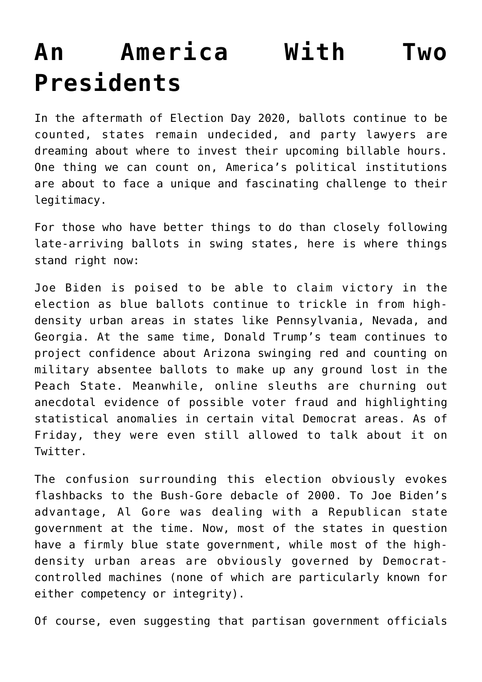## **[An America With Two](https://intellectualtakeout.org/2020/11/an-america-with-two-presidents/) [Presidents](https://intellectualtakeout.org/2020/11/an-america-with-two-presidents/)**

In the aftermath of Election Day 2020, ballots continue to be counted, states remain undecided, and party lawyers are dreaming about where to invest their upcoming billable hours. One thing we can count on, America's political institutions are about to face a unique and fascinating challenge to their legitimacy.

For those who have better things to do than closely following late-arriving ballots in swing states, here is where things stand right now:

Joe Biden is poised to be able to claim victory in the election as blue ballots continue to trickle in from highdensity urban areas in states like Pennsylvania, Nevada, and Georgia. At the same time, Donald Trump's team continues to project confidence about Arizona swinging red and counting on military absentee ballots to make up any ground lost in the Peach State. Meanwhile, online sleuths are churning out anecdotal evidence of possible voter fraud and highlighting statistical anomalies in certain vital Democrat areas. As of Friday, they were even still allowed to talk about it on Twitter.

The confusion surrounding this election obviously evokes flashbacks to the Bush-Gore debacle of 2000. To Joe Biden's advantage, Al Gore was dealing with a Republican state government at the time. Now, most of the states in question have a firmly blue state government, while most of the highdensity urban areas are obviously governed by Democratcontrolled machines (none of which are particularly known for either competency or integrity).

Of course, even suggesting that partisan government officials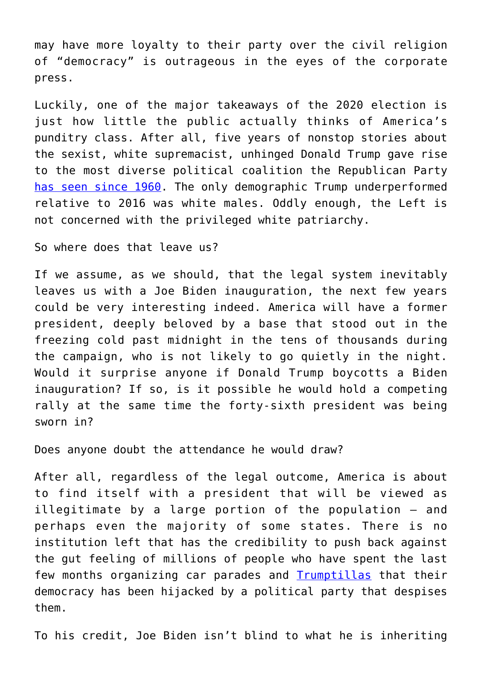may have more loyalty to their party over the civil religion of "democracy" is outrageous in the eyes of the corporate press.

Luckily, one of the major takeaways of the 2020 election is just how little the public actually thinks of America's punditry class. After all, five years of nonstop stories about the sexist, white supremacist, unhinged Donald Trump gave rise to the most diverse political coalition the Republican Party [has seen since 1960](https://www.nationalreview.com/news/trump-won-highest-share-of-non-white-vote-of-any-republican-since-1960-exit-polls-show/). The only demographic Trump underperformed relative to 2016 was white males. Oddly enough, the Left is not concerned with the privileged white patriarchy.

So where does that leave us?

If we assume, as we should, that the legal system inevitably leaves us with a Joe Biden inauguration, the next few years could be very interesting indeed. America will have a former president, deeply beloved by a base that stood out in the freezing cold past midnight in the tens of thousands during the campaign, who is not likely to go quietly in the night. Would it surprise anyone if Donald Trump boycotts a Biden inauguration? If so, is it possible he would hold a competing rally at the same time the forty-sixth president was being sworn in?

Does anyone doubt the attendance he would draw?

After all, regardless of the legal outcome, America is about to find itself with a president that will be viewed as illegitimate by a large portion of the population – and perhaps even the majority of some states. There is no institution left that has the credibility to push back against the gut feeling of millions of people who have spent the last few months organizing car parades and **[Trumptillas](https://www.politico.com/news/2020/05/29/trump-new-kind-of-rally-flotilla-288141)** that their democracy has been hijacked by a political party that despises them.

To his credit, Joe Biden isn't blind to what he is inheriting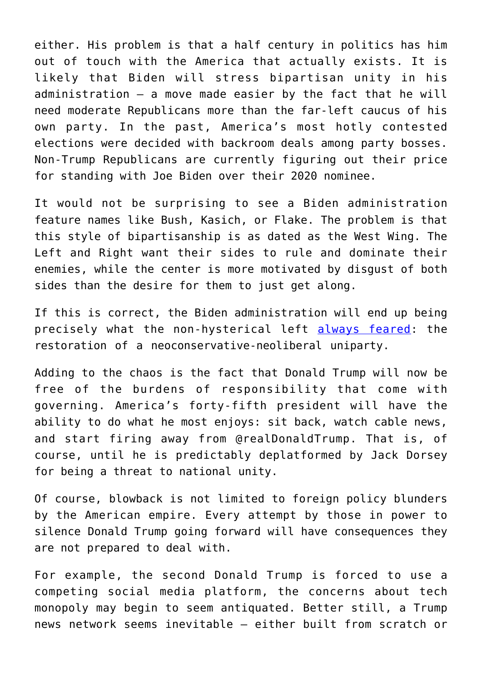either. His problem is that a half century in politics has him out of touch with the America that actually exists. It is likely that Biden will stress bipartisan unity in his administration – a move made easier by the fact that he will need moderate Republicans more than the far-left caucus of his own party. In the past, America's most hotly contested elections were decided with backroom deals among party bosses. Non-Trump Republicans are currently figuring out their price for standing with Joe Biden over their 2020 nominee.

It would not be surprising to see a Biden administration feature names like Bush, Kasich, or Flake. The problem is that this style of bipartisanship is as dated as the West Wing. The Left and Right want their sides to rule and dominate their enemies, while the center is more motivated by disgust of both sides than the desire for them to just get along.

If this is correct, the Biden administration will end up being precisely what the non-hysterical left [always feared:](https://twitter.com/ggreenwald/status/1319640929737887747?s=20) the restoration of a neoconservative-neoliberal uniparty.

Adding to the chaos is the fact that Donald Trump will now be free of the burdens of responsibility that come with governing. America's forty-fifth president will have the ability to do what he most enjoys: sit back, watch cable news, and start firing away from @realDonaldTrump. That is, of course, until he is predictably deplatformed by Jack Dorsey for being a threat to national unity.

Of course, blowback is not limited to foreign policy blunders by the American empire. Every attempt by those in power to silence Donald Trump going forward will have consequences they are not prepared to deal with.

For example, the second Donald Trump is forced to use a competing social media platform, the concerns about tech monopoly may begin to seem antiquated. Better still, a Trump news network seems inevitable – either built from scratch or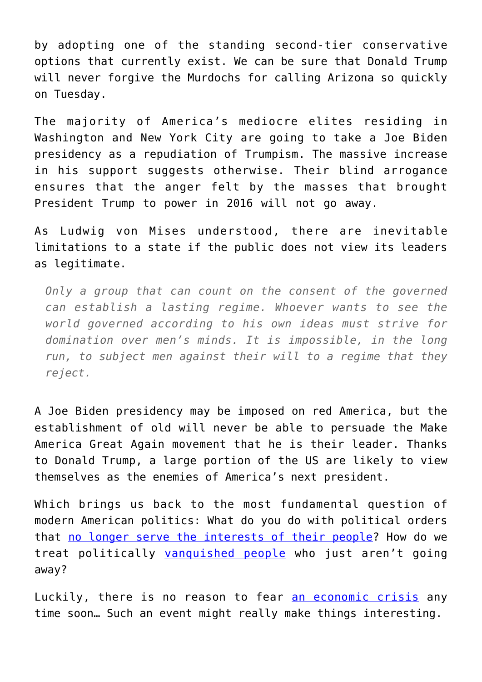by adopting one of the standing second-tier conservative options that currently exist. We can be sure that Donald Trump will never forgive the Murdochs for calling Arizona so quickly on Tuesday.

The majority of America's mediocre elites residing in Washington and New York City are going to take a Joe Biden presidency as a repudiation of Trumpism. The massive increase in his support suggests otherwise. Their blind arrogance ensures that the anger felt by the masses that brought President Trump to power in 2016 will not go away.

As Ludwig von Mises understood, there are inevitable limitations to a state if the public does not view its leaders as legitimate.

*Only a group that can count on the consent of the governed can establish a lasting regime. Whoever wants to see the world governed according to his own ideas must strive for domination over men's minds. It is impossible, in the long run, to subject men against their will to a regime that they reject.*

A Joe Biden presidency may be imposed on red America, but the establishment of old will never be able to persuade the Make America Great Again movement that he is their leader. Thanks to Donald Trump, a large portion of the US are likely to view themselves as the enemies of America's next president.

Which brings us back to the most fundamental question of modern American politics: What do you do with political orders that [no longer serve the interests of their people?](https://mises.org/power-market/what-will-it-take-americans-consider-breaking) How do we treat politically [vanquished people](https://mises.org/power-market/what-should-politically-vanquished-people-do) who just aren't going away?

Luckily, there is no reason to fear [an economic crisis](https://mises.org/wire/even-if-covid-19-goes-away-economy-isnt-going-back-normal) any time soon… Such an event might really make things interesting.